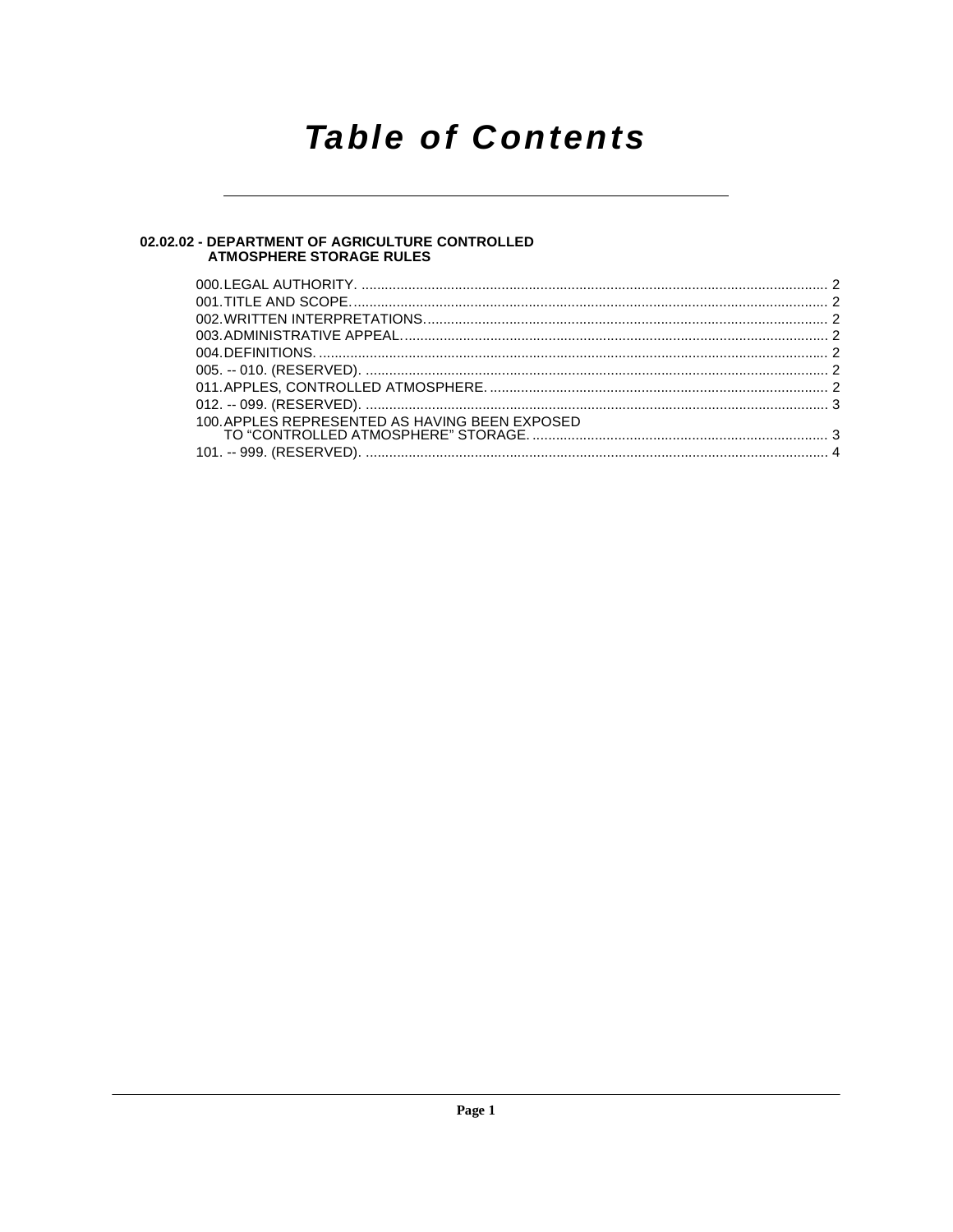## **Table of Contents**

## 02.02.02 - DEPARTMENT OF AGRICULTURE CONTROLLED<br>ATMOSPHERE STORAGE RULES

| 100. APPLES REPRESENTED AS HAVING BEEN EXPOSED |  |
|------------------------------------------------|--|
|                                                |  |
|                                                |  |
|                                                |  |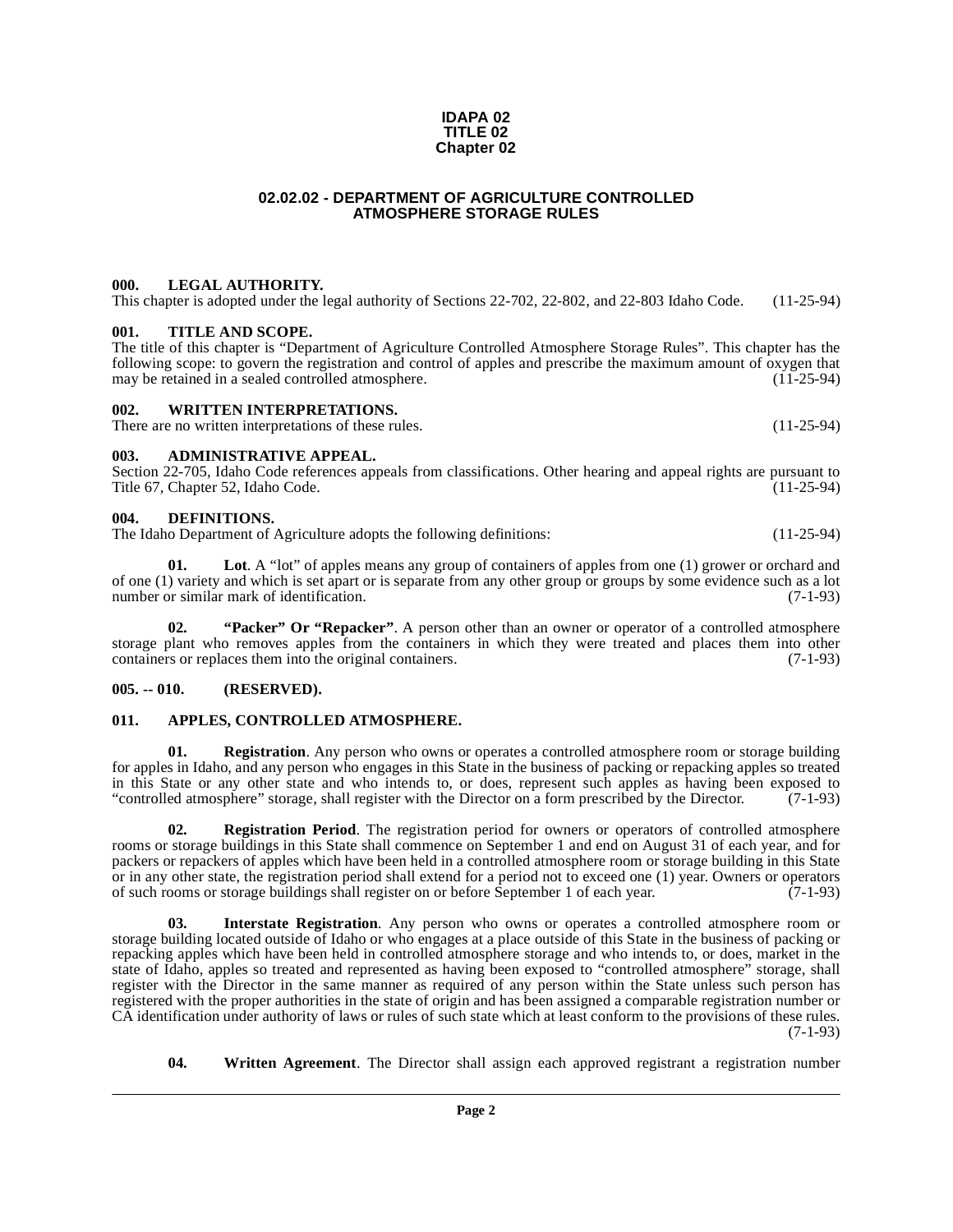#### **IDAPA 02 TITLE 02 Chapter 02**

### **02.02.02 - DEPARTMENT OF AGRICULTURE CONTROLLED ATMOSPHERE STORAGE RULES**

### <span id="page-1-1"></span><span id="page-1-0"></span>**000. LEGAL AUTHORITY.**

This chapter is adopted under the legal authority of Sections 22-702, 22-802, and 22-803 Idaho Code. (11-25-94)

### <span id="page-1-2"></span>**001. TITLE AND SCOPE.**

The title of this chapter is "Department of Agriculture Controlled Atmosphere Storage Rules". This chapter has the following scope: to govern the registration and control of apples and prescribe the maximum amount of oxygen that may be retained in a sealed controlled atmosphere.

### <span id="page-1-3"></span>**002. WRITTEN INTERPRETATIONS.**

There are no written interpretations of these rules. (11-25-94)

### <span id="page-1-4"></span>**003. ADMINISTRATIVE APPEAL.**

Section 22-705, Idaho Code references appeals from classifications. Other hearing and appeal rights are pursuant to Title 67, Chapter 52, Idaho Code. (11-25-94)

### <span id="page-1-9"></span><span id="page-1-5"></span>**004. DEFINITIONS.**

The Idaho Department of Agriculture adopts the following definitions: (11-25-94)

<span id="page-1-11"></span>**01.** Lot. A "lot" of apples means any group of containers of apples from one (1) grower or orchard and of one (1) variety and which is set apart or is separate from any other group or groups by some evidence such as a lot number or similar mark of identification. (7-1-93)

<span id="page-1-15"></span><span id="page-1-12"></span>**02. "Packer" Or "Repacker"**. A person other than an owner or operator of a controlled atmosphere storage plant who removes apples from the containers in which they were treated and places them into other containers or replaces them into the original containers. (7-1-93) containers or replaces them into the original containers.

### <span id="page-1-6"></span>**005. -- 010. (RESERVED).**

### <span id="page-1-8"></span><span id="page-1-7"></span>**011. APPLES, CONTROLLED ATMOSPHERE.**

<span id="page-1-13"></span>**Registration**. Any person who owns or operates a controlled atmosphere room or storage building for apples in Idaho, and any person who engages in this State in the business of packing or repacking apples so treated in this State or any other state and who intends to, or does, represent such apples as having been exposed to "controlled atmosphere" storage, shall register with the Director on a form prescribed by the Director. (7-1-93)

<span id="page-1-14"></span>**02. Registration Period**. The registration period for owners or operators of controlled atmosphere rooms or storage buildings in this State shall commence on September 1 and end on August 31 of each year, and for packers or repackers of apples which have been held in a controlled atmosphere room or storage building in this State or in any other state, the registration period shall extend for a period not to exceed one (1) year. Owners or operators of such rooms or storage buildings shall register on or before September 1 of each year. (7-1-93) of such rooms or storage buildings shall register on or before September 1 of each year.

<span id="page-1-10"></span>**03. Interstate Registration**. Any person who owns or operates a controlled atmosphere room or storage building located outside of Idaho or who engages at a place outside of this State in the business of packing or repacking apples which have been held in controlled atmosphere storage and who intends to, or does, market in the state of Idaho, apples so treated and represented as having been exposed to "controlled atmosphere" storage, shall register with the Director in the same manner as required of any person within the State unless such person has registered with the proper authorities in the state of origin and has been assigned a comparable registration number or CA identification under authority of laws or rules of such state which at least conform to the provisions of these rules. (7-1-93)

<span id="page-1-16"></span>**04. Written Agreement**. The Director shall assign each approved registrant a registration number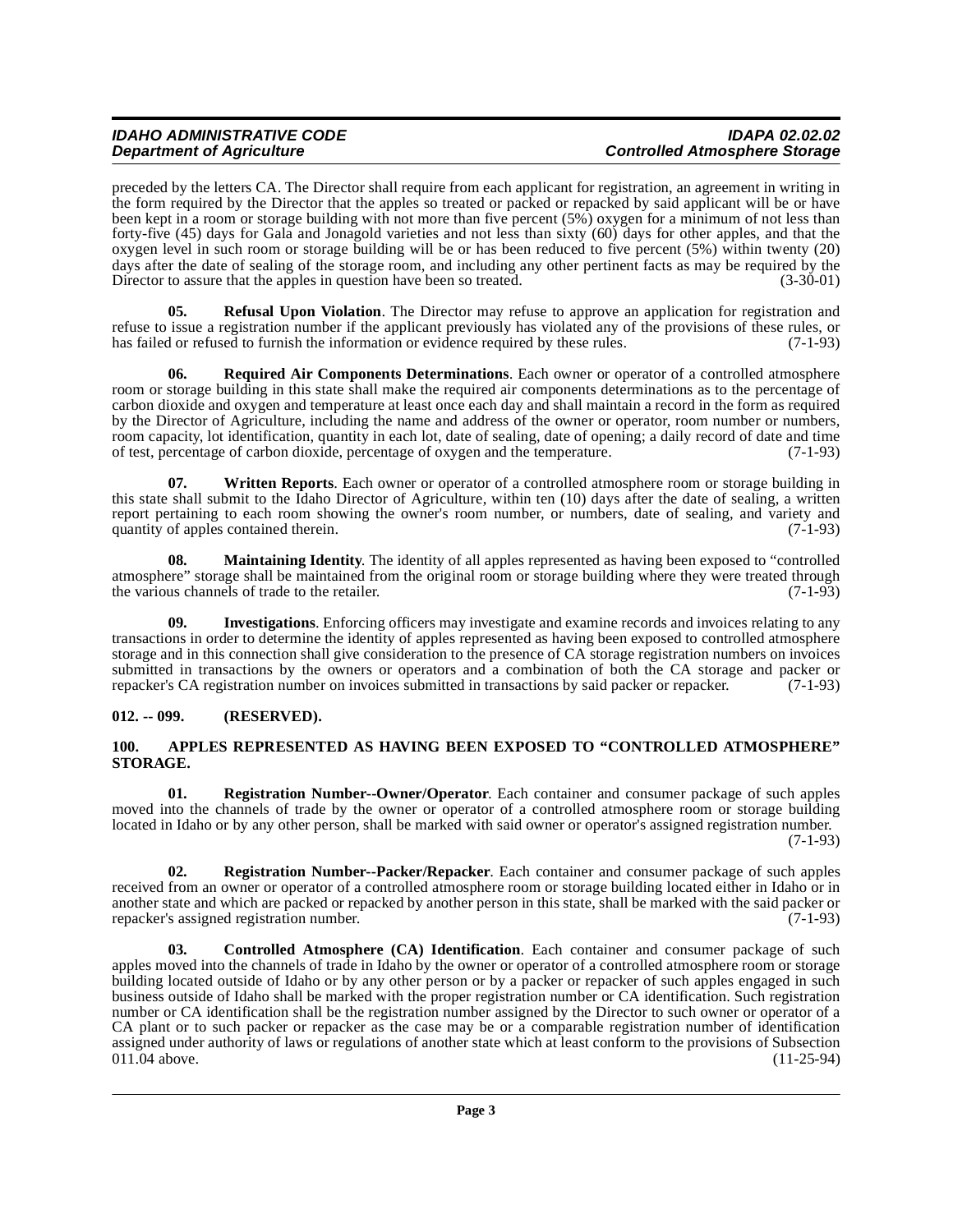preceded by the letters CA. The Director shall require from each applicant for registration, an agreement in writing in the form required by the Director that the apples so treated or packed or repacked by said applicant will be or have been kept in a room or storage building with not more than five percent (5%) oxygen for a minimum of not less than forty-five (45) days for Gala and Jonagold varieties and not less than sixty (60) days for other apples, and that the oxygen level in such room or storage building will be or has been reduced to five percent (5%) within twenty (20) days after the date of sealing of the storage room, and including any other pertinent facts as may be required by the Director to assure that the apples in question have been so treated. (3-30-01) Director to assure that the apples in question have been so treated.

<span id="page-2-6"></span>**05. Refusal Upon Violation**. The Director may refuse to approve an application for registration and refuse to issue a registration number if the applicant previously has violated any of the provisions of these rules, or has failed or refused to furnish the information or evidence required by these rules. (7-1-93)

<span id="page-2-9"></span>**06. Required Air Components Determinations**. Each owner or operator of a controlled atmosphere room or storage building in this state shall make the required air components determinations as to the percentage of carbon dioxide and oxygen and temperature at least once each day and shall maintain a record in the form as required by the Director of Agriculture, including the name and address of the owner or operator, room number or numbers, room capacity, lot identification, quantity in each lot, date of sealing, date of opening; a daily record of date and time<br>of test, percentage of carbon dioxide, percentage of oxygen and the temperature. (7-1-93) of test, percentage of carbon dioxide, percentage of oxygen and the temperature.

<span id="page-2-10"></span>**07. Written Reports**. Each owner or operator of a controlled atmosphere room or storage building in this state shall submit to the Idaho Director of Agriculture, within ten (10) days after the date of sealing, a written report pertaining to each room showing the owner's room number, or numbers, date of sealing, and variety and quantity of apples contained therein. (7-1-93) quantity of apples contained therein.

<span id="page-2-5"></span>**08. Maintaining Identity**. The identity of all apples represented as having been exposed to "controlled atmosphere" storage shall be maintained from the original room or storage building where they were treated through the various channels of trade to the retailer. (7-1-93) the various channels of trade to the retailer.

<span id="page-2-4"></span>**09. Investigations**. Enforcing officers may investigate and examine records and invoices relating to any transactions in order to determine the identity of apples represented as having been exposed to controlled atmosphere storage and in this connection shall give consideration to the presence of CA storage registration numbers on invoices submitted in transactions by the owners or operators and a combination of both the CA storage and packer or repacker's CA registration number on invoices submitted in transactions by said packer or repacker. (7-1-93) repacker's CA registration number on invoices submitted in transactions by said packer or repacker.

### <span id="page-2-0"></span>**012. -- 099. (RESERVED).**

### <span id="page-2-2"></span><span id="page-2-1"></span>**100. APPLES REPRESENTED AS HAVING BEEN EXPOSED TO "CONTROLLED ATMOSPHERE" STORAGE.**

<span id="page-2-7"></span>**01. Registration Number--Owner/Operator**. Each container and consumer package of such apples moved into the channels of trade by the owner or operator of a controlled atmosphere room or storage building located in Idaho or by any other person, shall be marked with said owner or operator's assigned registration number. (7-1-93)

<span id="page-2-8"></span>**02. Registration Number--Packer/Repacker**. Each container and consumer package of such apples received from an owner or operator of a controlled atmosphere room or storage building located either in Idaho or in another state and which are packed or repacked by another person in this state, shall be marked with the said packer or repacker's assigned registration number. (7-1-93)

<span id="page-2-3"></span>**03. Controlled Atmosphere (CA) Identification**. Each container and consumer package of such apples moved into the channels of trade in Idaho by the owner or operator of a controlled atmosphere room or storage building located outside of Idaho or by any other person or by a packer or repacker of such apples engaged in such business outside of Idaho shall be marked with the proper registration number or CA identification. Such registration number or CA identification shall be the registration number assigned by the Director to such owner or operator of a CA plant or to such packer or repacker as the case may be or a comparable registration number of identification assigned under authority of laws or regulations of another state which at least conform to the provisions of Subsection 011.04 above. (11-25-94) 011.04 above.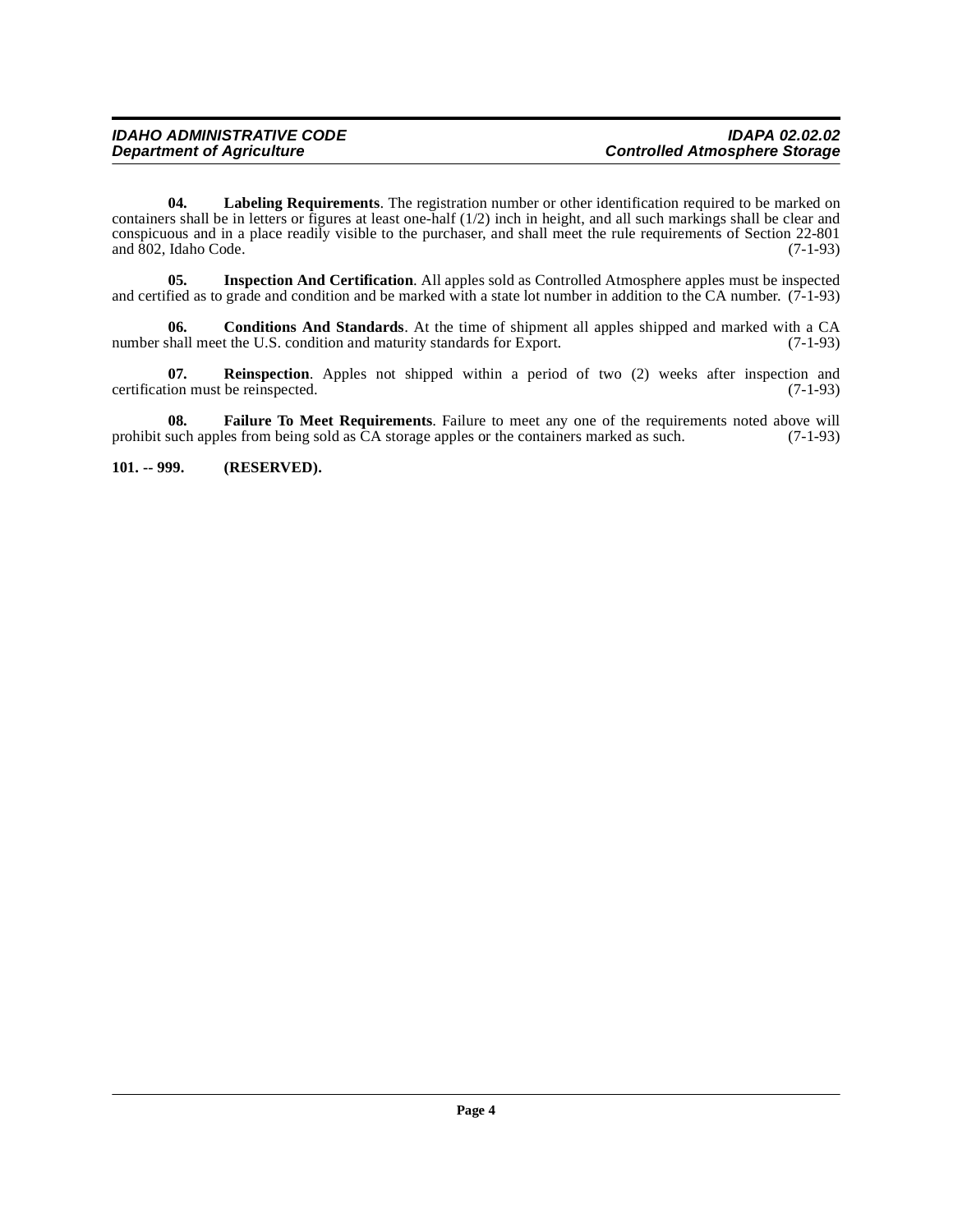<span id="page-3-4"></span>**04. Labeling Requirements**. The registration number or other identification required to be marked on containers shall be in letters or figures at least one-half  $(1/2)$  inch in height, and all such markings shall be clear and conspicuous and in a place readily visible to the purchaser, and shall meet the rule requirements of Section 22-801 and  $802$ , Idaho Code. (7-1-93)

<span id="page-3-3"></span>**05. Inspection And Certification**. All apples sold as Controlled Atmosphere apples must be inspected and certified as to grade and condition and be marked with a state lot number in addition to the CA number.  $(7-1-93)$ 

<span id="page-3-1"></span>**06.** Conditions And Standards. At the time of shipment all apples shipped and marked with a CA shall meet the U.S. condition and maturity standards for Export. (7-1-93) number shall meet the U.S. condition and maturity standards for Export.

<span id="page-3-5"></span>**07. Reinspection**. Apples not shipped within a period of two (2) weeks after inspection and certification must be reinspected. (7-1-93)

<span id="page-3-2"></span>**08.** Failure To Meet Requirements. Failure to meet any one of the requirements noted above will such apples from being sold as CA storage apples or the containers marked as such. (7-1-93) prohibit such apples from being sold as  $\tilde{C}A$  storage apples or the containers marked as such.

<span id="page-3-0"></span>**101. -- 999. (RESERVED).**